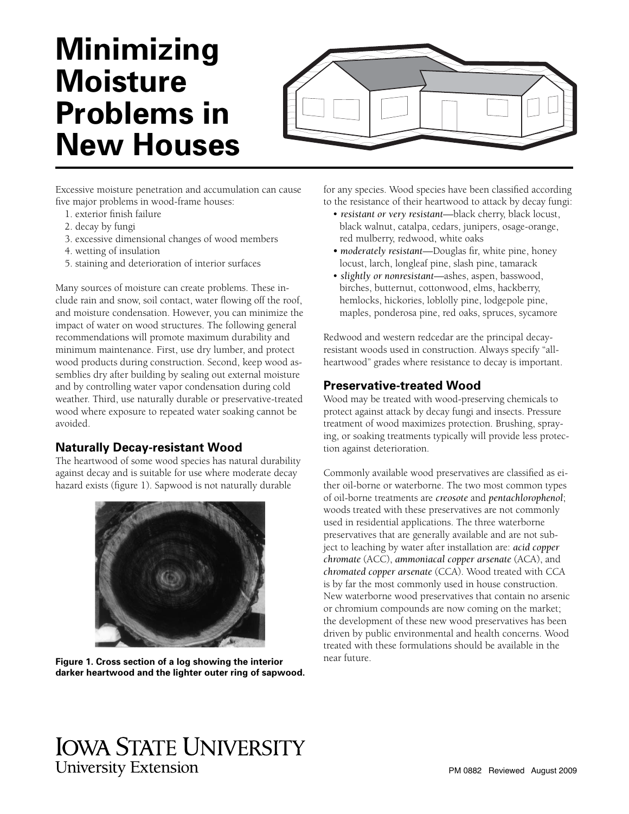# **Minimizing Moisture Problems in New Houses**



Excessive moisture penetration and accumulation can cause five major problems in wood-frame houses:

- 1. exterior finish failure
- 2. decay by fungi
- 3. excessive dimensional changes of wood members
- 4. wetting of insulation
- 5. staining and deterioration of interior surfaces

Many sources of moisture can create problems. These include rain and snow, soil contact, water flowing off the roof, and moisture condensation. However, you can minimize the impact of water on wood structures. The following general recommendations will promote maximum durability and minimum maintenance. First, use dry lumber, and protect wood products during construction. Second, keep wood assemblies dry after building by sealing out external moisture and by controlling water vapor condensation during cold weather. Third, use naturally durable or preservative-treated wood where exposure to repeated water soaking cannot be avoided.

### **Naturally Decay-resistant Wood**

The heartwood of some wood species has natural durability against decay and is suitable for use where moderate decay hazard exists (figure 1). Sapwood is not naturally durable



**Figure 1. Cross section of a log showing the interior darker heartwood and the lighter outer ring of sapwood.**

for any species. Wood species have been classified according to the resistance of their heartwood to attack by decay fungi:

- *resistant or very resistant*—black cherry, black locust, black walnut, catalpa, cedars, junipers, osage-orange, red mulberry, redwood, white oaks
- moderately resistant—Douglas fir, white pine, honey locust, larch, longleaf pine, slash pine, tamarack
- *slightly or nonresistant*—ashes, aspen, basswood, birches, butternut, cottonwood, elms, hackberry, hemlocks, hickories, loblolly pine, lodgepole pine, maples, ponderosa pine, red oaks, spruces, sycamore

Redwood and western redcedar are the principal decayresistant woods used in construction. Always specify "allheartwood" grades where resistance to decay is important.

## **Preservative-treated Wood**

Wood may be treated with wood-preserving chemicals to protect against attack by decay fungi and insects. Pressure treatment of wood maximizes protection. Brushing, spraying, or soaking treatments typically will provide less protection against deterioration.

Commonly available wood preservatives are classified as either oil-borne or waterborne. The two most common types of oil-borne treatments are *creosote* and *pentachlorophenol*; woods treated with these preservatives are not commonly used in residential applications. The three waterborne preservatives that are generally available and are not subject to leaching by water after installation are: *acid copper chromate* (ACC), *ammoniacal copper arsenate* (ACA), and *chromated copper arsenate* (CCA). Wood treated with CCA is by far the most commonly used in house construction. New waterborne wood preservatives that contain no arsenic or chromium compounds are now coming on the market; the development of these new wood preservatives has been driven by public environmental and health concerns. Wood treated with these formulations should be available in the near future.

# **IOWA STATE UNIVERSITY University Extension**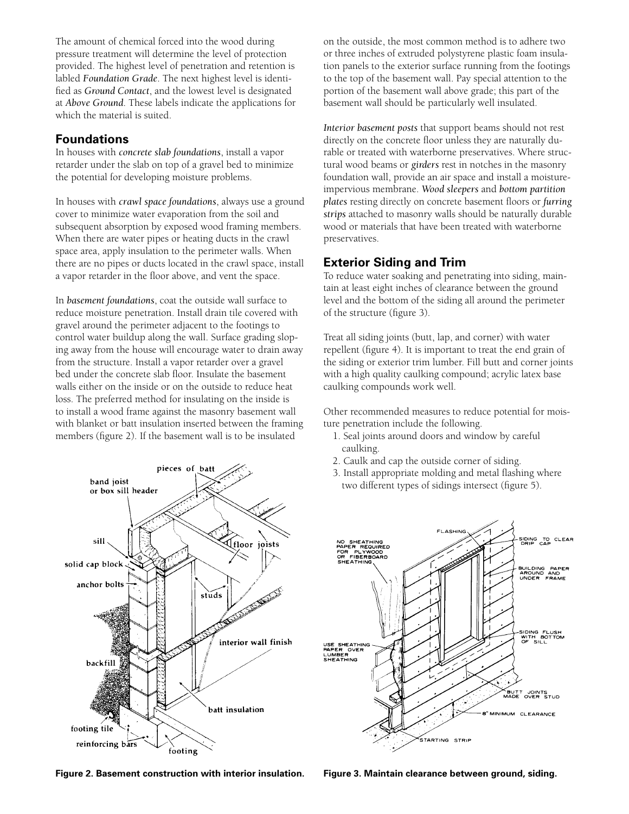The amount of chemical forced into the wood during pressure treatment will determine the level of protection provided. The highest level of penetration and retention is labled *Foundation Grade*. The next highest level is identified as *Ground Contact*, and the lowest level is designated at *Above Ground*. These labels indicate the applications for which the material is suited.

#### **Foundations**

In houses with *concrete slab foundations*, install a vapor retarder under the slab on top of a gravel bed to minimize the potential for developing moisture problems.

In houses with *crawl space foundations*, always use a ground cover to minimize water evaporation from the soil and subsequent absorption by exposed wood framing members. When there are water pipes or heating ducts in the crawl space area, apply insulation to the perimeter walls. When there are no pipes or ducts located in the crawl space, install a vapor retarder in the floor above, and vent the space.

In *basement foundations*, coat the outside wall surface to reduce moisture penetration. Install drain tile covered with gravel around the perimeter adjacent to the footings to control water buildup along the wall. Surface grading sloping away from the house will encourage water to drain away from the structure. Install a vapor retarder over a gravel bed under the concrete slab floor. Insulate the basement walls either on the inside or on the outside to reduce heat loss. The preferred method for insulating on the inside is to install a wood frame against the masonry basement wall with blanket or batt insulation inserted between the framing members (figure 2). If the basement wall is to be insulated



on the outside, the most common method is to adhere two or three inches of extruded polystyrene plastic foam insulation panels to the exterior surface running from the footings to the top of the basement wall. Pay special attention to the portion of the basement wall above grade; this part of the basement wall should be particularly well insulated.

*Interior basement posts* that support beams should not rest directly on the concrete floor unless they are naturally durable or treated with waterborne preservatives. Where structural wood beams or *girders* rest in notches in the masonry foundation wall, provide an air space and install a moistureimpervious membrane. *Wood sleepers* and *bottom partition plates* resting directly on concrete basement floors or *furring strips* attached to masonry walls should be naturally durable wood or materials that have been treated with waterborne preservatives.

# **Exterior Siding and Trim**

To reduce water soaking and penetrating into siding, maintain at least eight inches of clearance between the ground level and the bottom of the siding all around the perimeter of the structure (figure 3).

Treat all siding joints (butt, lap, and corner) with water repellent (figure 4). It is important to treat the end grain of the siding or exterior trim lumber. Fill butt and corner joints with a high quality caulking compound; acrylic latex base caulking compounds work well.

Other recommended measures to reduce potential for moisture penetration include the following.

- 1. Seal joints around doors and window by careful caulking.
- 2. Caulk and cap the outside corner of siding.
- 3. Install appropriate molding and metal flashing where two different types of sidings intersect (figure 5).



**Figure 2. Basement construction with interior insulation. Figure 3. Maintain clearance between ground, siding.**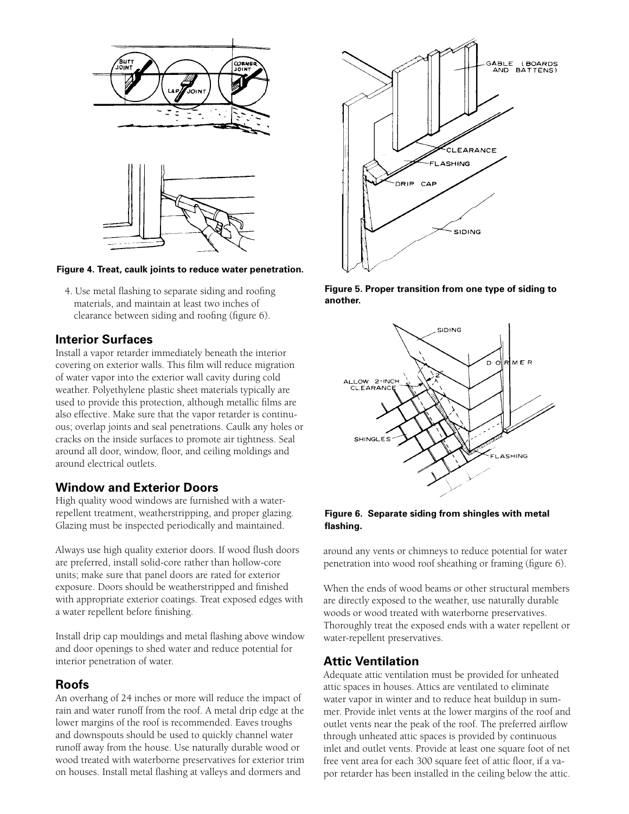

#### **Figure 4. Treat, caulk joints to reduce water penetration.**

4. Use metal flashing to separate siding and roofing materials, and maintain at least two inches of clearance between siding and roofing (figure 6).

#### **Interior Surfaces**

Install a vapor retarder immediately beneath the interior covering on exterior walls. This film will reduce migration of water vapor into the exterior wall cavity during cold weather. Polyethylene plastic sheet materials typically are used to provide this protection, although metallic films are also effective. Make sure that the vapor retarder is continuous; overlap joints and seal penetrations. Caulk any holes or cracks on the inside surfaces to promote air tightness. Seal around all door, window, floor, and ceiling moldings and around electrical outlets.

#### **Window and Exterior Doors**

High quality wood windows are furnished with a waterrepellent treatment, weatherstripping, and proper glazing. Glazing must be inspected periodically and maintained.

Always use high quality exterior doors. If wood flush doors are preferred, install solid-core rather than hollow-core units; make sure that panel doors are rated for exterior exposure. Doors should be weatherstripped and finished with appropriate exterior coatings. Treat exposed edges with a water repellent before finishing.

Install drip cap mouldings and metal flashing above window and door openings to shed water and reduce potential for interior penetration of water.

#### **Roofs**

An overhang of 24 inches or more will reduce the impact of rain and water runoff from the roof. A metal drip edge at the lower margins of the roof is recommended. Eaves troughs and downspouts should be used to quickly channel water runoff away from the house. Use naturally durable wood or wood treated with waterborne preservatives for exterior trim on houses. Install metal flashing at valleys and dormers and



**Figure 5. Proper transition from one type of siding to another.**



**Figure 6. Separate siding from shingles with metal fl ashing.**

around any vents or chimneys to reduce potential for water penetration into wood roof sheathing or framing (figure 6).

When the ends of wood beams or other structural members are directly exposed to the weather, use naturally durable woods or wood treated with waterborne preservatives. Thoroughly treat the exposed ends with a water repellent or water-repellent preservatives.

#### **Attic Ventilation**

Adequate attic ventilation must be provided for unheated attic spaces in houses. Attics are ventilated to eliminate water vapor in winter and to reduce heat buildup in summer. Provide inlet vents at the lower margins of the roof and outlet vents near the peak of the roof. The preferred airflow through unheated attic spaces is provided by continuous inlet and outlet vents. Provide at least one square foot of net free vent area for each 300 square feet of attic floor, if a vapor retarder has been installed in the ceiling below the attic.